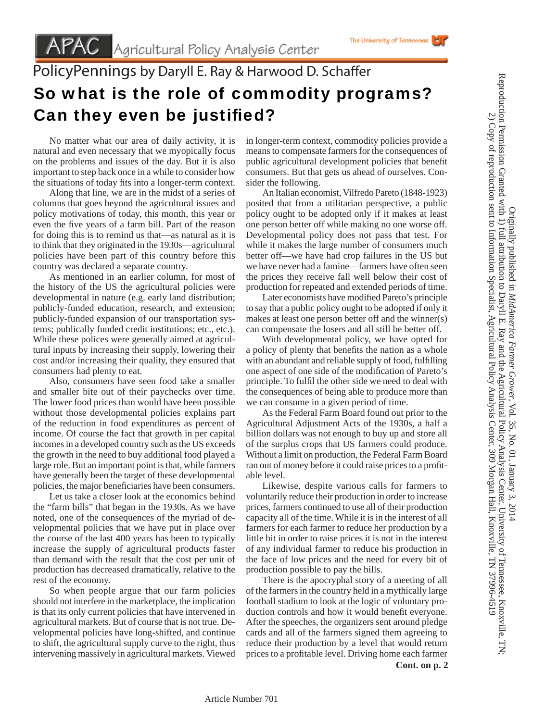## PolicyPennings by Daryll E. Ray & Harwood D. Schaffer So what is the role of commodity programs? Can they even be justified?

 No matter what our area of daily activity, it is natural and even necessary that we myopically focus on the problems and issues of the day. But it is also important to step back once in a while to consider how the situations of today fits into a longer-term context.

 Along that line, we are in the midst of a series of columns that goes beyond the agricultural issues and policy motivations of today, this month, this year or even the five years of a farm bill. Part of the reason for doing this is to remind us that—as natural as it is to think that they originated in the 1930s—agricultural policies have been part of this country before this country was declared a separate country.

 As mentioned in an earlier column, for most of the history of the US the agricultural policies were developmental in nature (e.g. early land distribution; publicly-funded education, research, and extension; publicly-funded expansion of our transportation systems; publically funded credit institutions; etc., etc.). While these polices were generally aimed at agricultural inputs by increasing their supply, lowering their cost and/or increasing their quality, they ensured that consumers had plenty to eat.

 Also, consumers have seen food take a smaller and smaller bite out of their paychecks over time. The lower food prices than would have been possible without those developmental policies explains part of the reduction in food expenditures as percent of income. Of course the fact that growth in per capital incomes in a developed country such as the US exceeds the growth in the need to buy additional food played a large role. But an important point is that, while farmers have generally been the target of these developmental policies, the major beneficiaries have been consumers.

 Let us take a closer look at the economics behind the "farm bills" that began in the 1930s. As we have noted, one of the consequences of the myriad of developmental policies that we have put in place over the course of the last 400 years has been to typically increase the supply of agricultural products faster than demand with the result that the cost per unit of production has decreased dramatically, relative to the rest of the economy.

 So when people argue that our farm policies should not interfere in the marketplace, the implication is that its only current policies that have intervened in agricultural markets. But of course that is not true. Developmental policies have long-shifted, and continue to shift, the agricultural supply curve to the right, thus intervening massively in agricultural markets. Viewed in longer-term context, commodity policies provide a means to compensate farmers for the consequences of public agricultural development policies that benefit consumers. But that gets us ahead of ourselves. Consider the following.

 An Italian economist, Vilfredo Pareto (1848-1923) posited that from a utilitarian perspective, a public policy ought to be adopted only if it makes at least one person better off while making no one worse off. Developmental policy does not pass that test. For while it makes the large number of consumers much better off—we have had crop failures in the US but we have never had a famine—farmers have often seen the prices they receive fall well below their cost of production for repeated and extended periods of time.

Later economists have modified Pareto's principle to say that a public policy ought to be adopted if only it makes at least one person better off and the winner(s) can compensate the losers and all still be better off.

 With developmental policy, we have opted for a policy of plenty that benefits the nation as a whole with an abundant and reliable supply of food, fulfilling one aspect of one side of the modification of Pareto's principle. To fulfil the other side we need to deal with the consequences of being able to produce more than we can consume in a given period of time.

 As the Federal Farm Board found out prior to the Agricultural Adjustment Acts of the 1930s, a half a billion dollars was not enough to buy up and store all of the surplus crops that US farmers could produce. Without a limit on production, the Federal Farm Board ran out of money before it could raise prices to a profitable level.

 Likewise, despite various calls for farmers to voluntarily reduce their production in order to increase prices, farmers continued to use all of their production capacity all of the time. While it is in the interest of all farmers for each farmer to reduce her production by a little bit in order to raise prices it is not in the interest of any individual farmer to reduce his production in the face of low prices and the need for every bit of production possible to pay the bills.

 There is the apocryphal story of a meeting of all of the farmers in the country held in a mythically large football stadium to look at the logic of voluntary production controls and how it would benefit everyone. After the speeches, the organizers sent around pledge cards and all of the farmers signed them agreeing to reduce their production by a level that would return prices to a profitable level. Driving home each farmer **Cont. on p. 2**